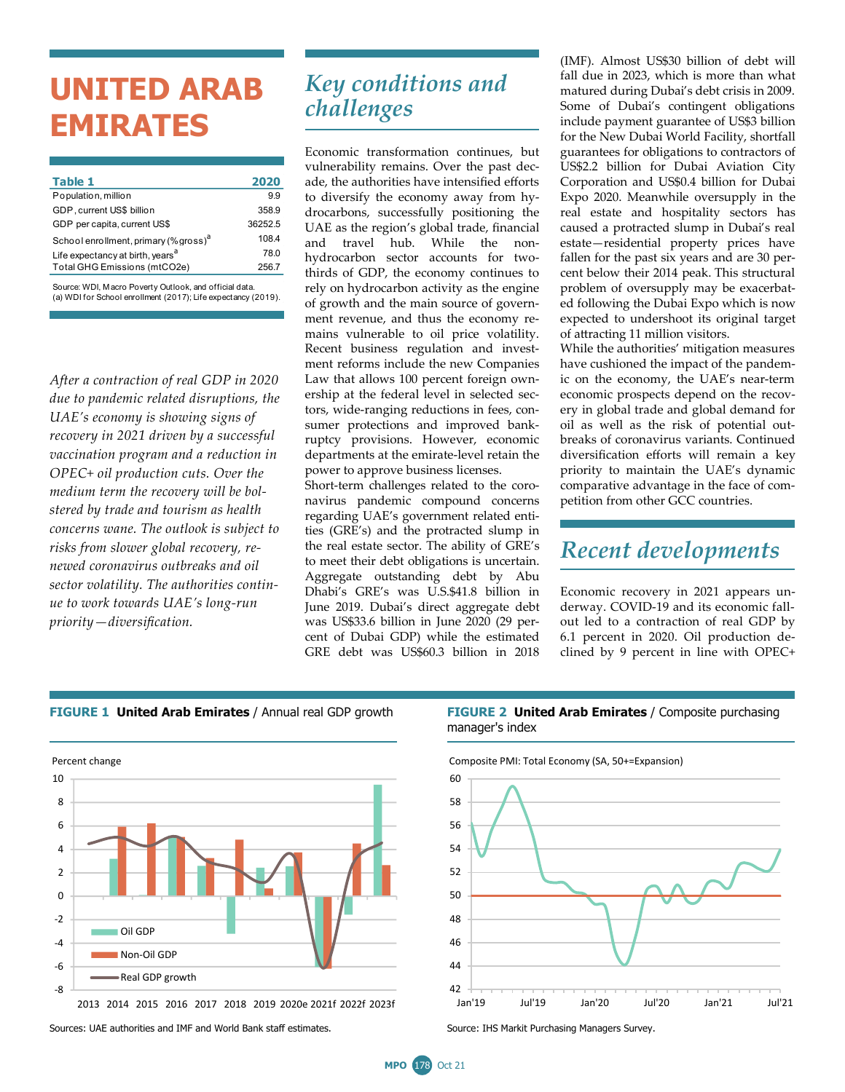# **UNITED ARAB EMIRATES**

| Table 1                                           | 2020    |
|---------------------------------------------------|---------|
| Population, million                               | 9.9     |
| GDP, current US\$ billion                         | 358.9   |
| GDP per capita, current US\$                      | 36252.5 |
| School enrollment, primary (% gross) <sup>a</sup> | 108.4   |
| Life expectancy at birth, years <sup>a</sup>      | 78.0    |
| Total GHG Emissions (mtCO2e)                      | 256.7   |
|                                                   |         |

Source: WDI, M acro Poverty Outlook, and official data. (a) WDI for School enrollment (2017); Life expectancy (2019).

*After a contraction of real GDP in 2020 due to pandemic related disruptions, the UAE's economy is showing signs of recovery in 2021 driven by a successful vaccination program and a reduction in OPEC+ oil production cuts. Over the medium term the recovery will be bolstered by trade and tourism as health concerns wane. The outlook is subject to risks from slower global recovery, renewed coronavirus outbreaks and oil sector volatility. The authorities continue to work towards UAE's long-run priority—diversification.* 

### *Key conditions and challenges*

Economic transformation continues, but vulnerability remains. Over the past decade, the authorities have intensified efforts to diversify the economy away from hydrocarbons, successfully positioning the UAE as the region's global trade, financial and travel hub. While the nonhydrocarbon sector accounts for twothirds of GDP, the economy continues to rely on hydrocarbon activity as the engine of growth and the main source of government revenue, and thus the economy remains vulnerable to oil price volatility. Recent business regulation and investment reforms include the new Companies Law that allows 100 percent foreign ownership at the federal level in selected sectors, wide-ranging reductions in fees, consumer protections and improved bankruptcy provisions. However, economic departments at the emirate-level retain the power to approve business licenses.

Short-term challenges related to the coronavirus pandemic compound concerns regarding UAE's government related entities (GRE's) and the protracted slump in the real estate sector. The ability of GRE's to meet their debt obligations is uncertain. Aggregate outstanding debt by Abu Dhabi's GRE's was U.S.\$41.8 billion in June 2019. Dubai's direct aggregate debt was US\$33.6 billion in June 2020 (29 percent of Dubai GDP) while the estimated GRE debt was US\$60.3 billion in 2018

(IMF). Almost US\$30 billion of debt will fall due in 2023, which is more than what matured during Dubai's debt crisis in 2009. Some of Dubai's contingent obligations include payment guarantee of US\$3 billion for the New Dubai World Facility, shortfall guarantees for obligations to contractors of US\$2.2 billion for Dubai Aviation City Corporation and US\$0.4 billion for Dubai Expo 2020. Meanwhile oversupply in the real estate and hospitality sectors has caused a protracted slump in Dubai's real estate—residential property prices have fallen for the past six years and are 30 percent below their 2014 peak. This structural problem of oversupply may be exacerbated following the Dubai Expo which is now expected to undershoot its original target of attracting 11 million visitors.

While the authorities' mitigation measures have cushioned the impact of the pandemic on the economy, the UAE's near-term economic prospects depend on the recovery in global trade and global demand for oil as well as the risk of potential outbreaks of coronavirus variants. Continued diversification efforts will remain a key priority to maintain the UAE's dynamic comparative advantage in the face of competition from other GCC countries.

### *Recent developments*

Economic recovery in 2021 appears underway. COVID-19 and its economic fallout led to a contraction of real GDP by 6.1 percent in 2020. Oil production declined by 9 percent in line with OPEC+



<sup>2013</sup> 2014 2015 2016 2017 2018 2019 2020e 2021f 2022f 2023f

Sources: UAE authorities and IMF and World Bank staff estimates. Surver Source: IHS Markit Purchasing Managers Survey.

#### **FIGURE 1 United Arab Emirates** / Annual real GDP growth **FIGURE 2 United Arab Emirates** / Composite purchasing manager's index